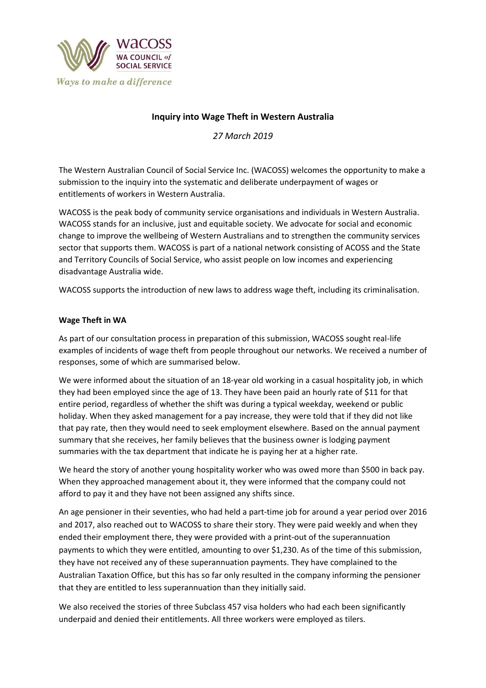

# **Inquiry into Wage Theft in Western Australia**

*27 March 2019*

The Western Australian Council of Social Service Inc. (WACOSS) welcomes the opportunity to make a submission to the inquiry into the systematic and deliberate underpayment of wages or entitlements of workers in Western Australia.

WACOSS is the peak body of community service organisations and individuals in Western Australia. WACOSS stands for an inclusive, just and equitable society. We advocate for social and economic change to improve the wellbeing of Western Australians and to strengthen the community services sector that supports them. WACOSS is part of a national network consisting of ACOSS and the State and Territory Councils of Social Service, who assist people on low incomes and experiencing disadvantage Australia wide.

WACOSS supports the introduction of new laws to address wage theft, including its criminalisation.

### **Wage Theft in WA**

As part of our consultation process in preparation of this submission, WACOSS sought real-life examples of incidents of wage theft from people throughout our networks. We received a number of responses, some of which are summarised below.

We were informed about the situation of an 18-year old working in a casual hospitality job, in which they had been employed since the age of 13. They have been paid an hourly rate of \$11 for that entire period, regardless of whether the shift was during a typical weekday, weekend or public holiday. When they asked management for a pay increase, they were told that if they did not like that pay rate, then they would need to seek employment elsewhere. Based on the annual payment summary that she receives, her family believes that the business owner is lodging payment summaries with the tax department that indicate he is paying her at a higher rate.

We heard the story of another young hospitality worker who was owed more than \$500 in back pay. When they approached management about it, they were informed that the company could not afford to pay it and they have not been assigned any shifts since.

An age pensioner in their seventies, who had held a part-time job for around a year period over 2016 and 2017, also reached out to WACOSS to share their story. They were paid weekly and when they ended their employment there, they were provided with a print-out of the superannuation payments to which they were entitled, amounting to over \$1,230. As of the time of this submission, they have not received any of these superannuation payments. They have complained to the Australian Taxation Office, but this has so far only resulted in the company informing the pensioner that they are entitled to less superannuation than they initially said.

We also received the stories of three Subclass 457 visa holders who had each been significantly underpaid and denied their entitlements. All three workers were employed as tilers.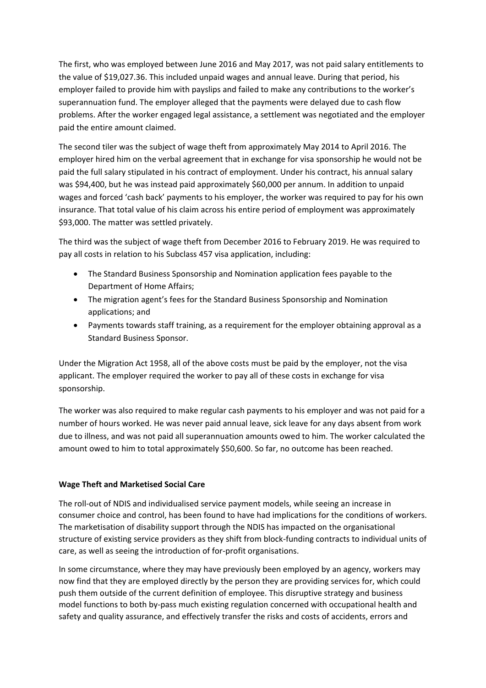The first, who was employed between June 2016 and May 2017, was not paid salary entitlements to the value of \$19,027.36. This included unpaid wages and annual leave. During that period, his employer failed to provide him with payslips and failed to make any contributions to the worker's superannuation fund. The employer alleged that the payments were delayed due to cash flow problems. After the worker engaged legal assistance, a settlement was negotiated and the employer paid the entire amount claimed.

The second tiler was the subject of wage theft from approximately May 2014 to April 2016. The employer hired him on the verbal agreement that in exchange for visa sponsorship he would not be paid the full salary stipulated in his contract of employment. Under his contract, his annual salary was \$94,400, but he was instead paid approximately \$60,000 per annum. In addition to unpaid wages and forced 'cash back' payments to his employer, the worker was required to pay for his own insurance. That total value of his claim across his entire period of employment was approximately \$93,000. The matter was settled privately.

The third was the subject of wage theft from December 2016 to February 2019. He was required to pay all costs in relation to his Subclass 457 visa application, including:

- The Standard Business Sponsorship and Nomination application fees payable to the Department of Home Affairs;
- The migration agent's fees for the Standard Business Sponsorship and Nomination applications; and
- Payments towards staff training, as a requirement for the employer obtaining approval as a Standard Business Sponsor.

Under the Migration Act 1958, all of the above costs must be paid by the employer, not the visa applicant. The employer required the worker to pay all of these costs in exchange for visa sponsorship.

The worker was also required to make regular cash payments to his employer and was not paid for a number of hours worked. He was never paid annual leave, sick leave for any days absent from work due to illness, and was not paid all superannuation amounts owed to him. The worker calculated the amount owed to him to total approximately \$50,600. So far, no outcome has been reached.

## **Wage Theft and Marketised Social Care**

The roll-out of NDIS and individualised service payment models, while seeing an increase in consumer choice and control, has been found to have had implications for the conditions of workers. The marketisation of disability support through the NDIS has impacted on the organisational structure of existing service providers as they shift from block-funding contracts to individual units of care, as well as seeing the introduction of for-profit organisations.

In some circumstance, where they may have previously been employed by an agency, workers may now find that they are employed directly by the person they are providing services for, which could push them outside of the current definition of employee. This disruptive strategy and business model functions to both by-pass much existing regulation concerned with occupational health and safety and quality assurance, and effectively transfer the risks and costs of accidents, errors and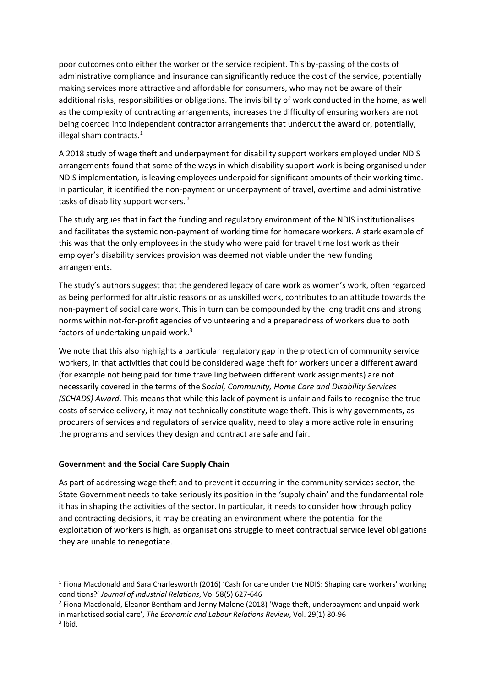poor outcomes onto either the worker or the service recipient. This by-passing of the costs of administrative compliance and insurance can significantly reduce the cost of the service, potentially making services more attractive and affordable for consumers, who may not be aware of their additional risks, responsibilities or obligations. The invisibility of work conducted in the home, as well as the complexity of contracting arrangements, increases the difficulty of ensuring workers are not being coerced into independent contractor arrangements that undercut the award or, potentially, illegal sham contracts. $<sup>1</sup>$ </sup>

A 2018 study of wage theft and underpayment for disability support workers employed under NDIS arrangements found that some of the ways in which disability support work is being organised under NDIS implementation, is leaving employees underpaid for significant amounts of their working time. In particular, it identified the non-payment or underpayment of travel, overtime and administrative tasks of disability support workers. <sup>2</sup>

The study argues that in fact the funding and regulatory environment of the NDIS institutionalises and facilitates the systemic non-payment of working time for homecare workers. A stark example of this was that the only employees in the study who were paid for travel time lost work as their employer's disability services provision was deemed not viable under the new funding arrangements.

The study's authors suggest that the gendered legacy of care work as women's work, often regarded as being performed for altruistic reasons or as unskilled work, contributes to an attitude towards the non-payment of social care work. This in turn can be compounded by the long traditions and strong norms within not-for-profit agencies of volunteering and a preparedness of workers due to both factors of undertaking unpaid work. $3$ 

We note that this also highlights a particular regulatory gap in the protection of community service workers, in that activities that could be considered wage theft for workers under a different award (for example not being paid for time travelling between different work assignments) are not necessarily covered in the terms of the S*ocial, Community, Home Care and Disability Services (SCHADS) Award*. This means that while this lack of payment is unfair and fails to recognise the true costs of service delivery, it may not technically constitute wage theft. This is why governments, as procurers of services and regulators of service quality, need to play a more active role in ensuring the programs and services they design and contract are safe and fair.

### **Government and the Social Care Supply Chain**

As part of addressing wage theft and to prevent it occurring in the community services sector, the State Government needs to take seriously its position in the 'supply chain' and the fundamental role it has in shaping the activities of the sector. In particular, it needs to consider how through policy and contracting decisions, it may be creating an environment where the potential for the exploitation of workers is high, as organisations struggle to meet contractual service level obligations they are unable to renegotiate.

**.** 

<sup>&</sup>lt;sup>1</sup> Fiona Macdonald and Sara Charlesworth (2016) 'Cash for care under the NDIS: Shaping care workers' working conditions?' *Journal of Industrial Relations*, Vol 58(5) 627-646

<sup>&</sup>lt;sup>2</sup> Fiona Macdonald, Eleanor Bentham and Jenny Malone (2018) 'Wage theft, underpayment and unpaid work in marketised social care', *The Economic and Labour Relations Review*, Vol. 29(1) 80-96

 $3$  Ibid.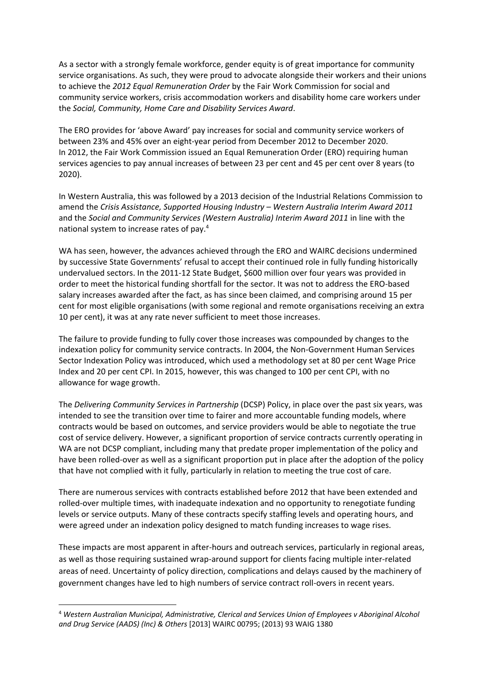As a sector with a strongly female workforce, gender equity is of great importance for community service organisations. As such, they were proud to advocate alongside their workers and their unions to achieve the *2012 Equal Remuneration Order* by the Fair Work Commission for social and community service workers, crisis accommodation workers and disability home care workers under the *Social, Community, Home Care and Disability Services Award*.

The ERO provides for 'above Award' pay increases for social and community service workers of between 23% and 45% over an eight-year period from December 2012 to December 2020. In 2012, the Fair Work Commission issued an Equal Remuneration Order (ERO) requiring human services agencies to pay annual increases of between 23 per cent and 45 per cent over 8 years (to 2020).

In Western Australia, this was followed by a 2013 decision of the Industrial Relations Commission to amend the *Crisis Assistance, Supported Housing Industry – Western Australia Interim Award 2011*  and the *Social and Community Services (Western Australia) Interim Award 2011* in line with the national system to increase rates of pay.<sup>4</sup>

WA has seen, however, the advances achieved through the ERO and WAIRC decisions undermined by successive State Governments' refusal to accept their continued role in fully funding historically undervalued sectors. In the 2011-12 State Budget, \$600 million over four years was provided in order to meet the historical funding shortfall for the sector. It was not to address the ERO-based salary increases awarded after the fact, as has since been claimed, and comprising around 15 per cent for most eligible organisations (with some regional and remote organisations receiving an extra 10 per cent), it was at any rate never sufficient to meet those increases.

The failure to provide funding to fully cover those increases was compounded by changes to the indexation policy for community service contracts. In 2004, the Non-Government Human Services Sector Indexation Policy was introduced, which used a methodology set at 80 per cent Wage Price Index and 20 per cent CPI. In 2015, however, this was changed to 100 per cent CPI, with no allowance for wage growth.

The *Delivering Community Services in Partnership* (DCSP) Policy, in place over the past six years, was intended to see the transition over time to fairer and more accountable funding models, where contracts would be based on outcomes, and service providers would be able to negotiate the true cost of service delivery. However, a significant proportion of service contracts currently operating in WA are not DCSP compliant, including many that predate proper implementation of the policy and have been rolled-over as well as a significant proportion put in place after the adoption of the policy that have not complied with it fully, particularly in relation to meeting the true cost of care.

There are numerous services with contracts established before 2012 that have been extended and rolled-over multiple times, with inadequate indexation and no opportunity to renegotiate funding levels or service outputs. Many of these contracts specify staffing levels and operating hours, and were agreed under an indexation policy designed to match funding increases to wage rises.

These impacts are most apparent in after-hours and outreach services, particularly in regional areas, as well as those requiring sustained wrap-around support for clients facing multiple inter-related areas of need. Uncertainty of policy direction, complications and delays caused by the machinery of government changes have led to high numbers of service contract roll-overs in recent years.

 $\overline{a}$ 

<sup>4</sup> *Western Australian Municipal, Administrative, Clerical and Services Union of Employees v Aboriginal Alcohol and Drug Service (AADS) (Inc) & Others* [2013] WAIRC 00795; (2013) 93 WAIG 1380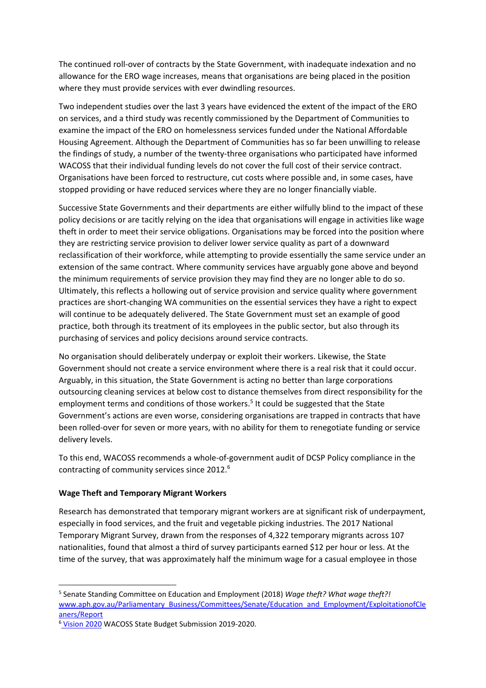The continued roll-over of contracts by the State Government, with inadequate indexation and no allowance for the ERO wage increases, means that organisations are being placed in the position where they must provide services with ever dwindling resources.

Two independent studies over the last 3 years have evidenced the extent of the impact of the ERO on services, and a third study was recently commissioned by the Department of Communities to examine the impact of the ERO on homelessness services funded under the National Affordable Housing Agreement. Although the Department of Communities has so far been unwilling to release the findings of study, a number of the twenty-three organisations who participated have informed WACOSS that their individual funding levels do not cover the full cost of their service contract. Organisations have been forced to restructure, cut costs where possible and, in some cases, have stopped providing or have reduced services where they are no longer financially viable.

Successive State Governments and their departments are either wilfully blind to the impact of these policy decisions or are tacitly relying on the idea that organisations will engage in activities like wage theft in order to meet their service obligations. Organisations may be forced into the position where they are restricting service provision to deliver lower service quality as part of a downward reclassification of their workforce, while attempting to provide essentially the same service under an extension of the same contract. Where community services have arguably gone above and beyond the minimum requirements of service provision they may find they are no longer able to do so. Ultimately, this reflects a hollowing out of service provision and service quality where government practices are short-changing WA communities on the essential services they have a right to expect will continue to be adequately delivered. The State Government must set an example of good practice, both through its treatment of its employees in the public sector, but also through its purchasing of services and policy decisions around service contracts.

No organisation should deliberately underpay or exploit their workers. Likewise, the State Government should not create a service environment where there is a real risk that it could occur. Arguably, in this situation, the State Government is acting no better than large corporations outsourcing cleaning services at below cost to distance themselves from direct responsibility for the employment terms and conditions of those workers.<sup>5</sup> It could be suggested that the State Government's actions are even worse, considering organisations are trapped in contracts that have been rolled-over for seven or more years, with no ability for them to renegotiate funding or service delivery levels.

To this end, WACOSS recommends a whole-of-government audit of DCSP Policy compliance in the contracting of community services since 2012.<sup>6</sup>

### **Wage Theft and Temporary Migrant Workers**

1

Research has demonstrated that temporary migrant workers are at significant risk of underpayment, especially in food services, and the fruit and vegetable picking industries. The 2017 National Temporary Migrant Survey, drawn from the responses of 4,322 temporary migrants across 107 nationalities, found that almost a third of survey participants earned \$12 per hour or less. At the time of the survey, that was approximately half the minimum wage for a casual employee in those

<sup>5</sup> Senate Standing Committee on Education and Employment (2018) *Wage theft? What wage theft?!*  [www.aph.gov.au/Parliamentary\\_Business/Committees/Senate/Education\\_and\\_Employment/ExploitationofCle](http://www.aph.gov.au/Parliamentary_Business/Committees/Senate/Education_and_Employment/ExploitationofCleaners/Report) [aners/Report](http://www.aph.gov.au/Parliamentary_Business/Committees/Senate/Education_and_Employment/ExploitationofCleaners/Report)

<sup>6</sup> [Vision 2020](https://wacoss.org.au/wp-content/uploads/2018/10/State-Budget-Submission-2019-2020.pdf) WACOSS State Budget Submission 2019-2020.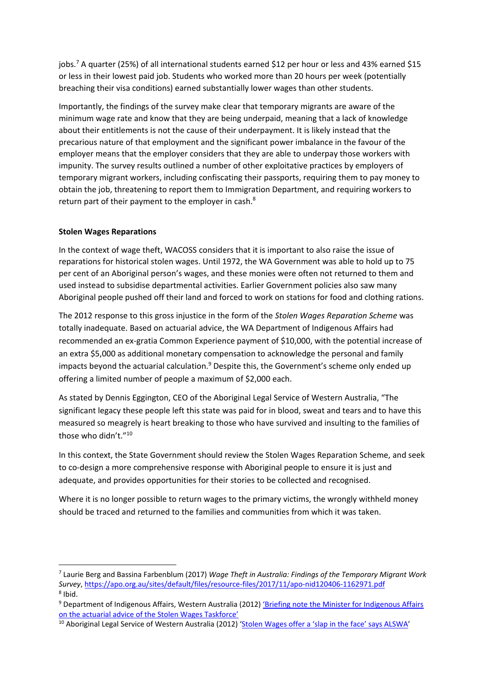jobs.<sup>7</sup> A quarter (25%) of all international students earned \$12 per hour or less and 43% earned \$15 or less in their lowest paid job. Students who worked more than 20 hours per week (potentially breaching their visa conditions) earned substantially lower wages than other students.

Importantly, the findings of the survey make clear that temporary migrants are aware of the minimum wage rate and know that they are being underpaid, meaning that a lack of knowledge about their entitlements is not the cause of their underpayment. It is likely instead that the precarious nature of that employment and the significant power imbalance in the favour of the employer means that the employer considers that they are able to underpay those workers with impunity. The survey results outlined a number of other exploitative practices by employers of temporary migrant workers, including confiscating their passports, requiring them to pay money to obtain the job, threatening to report them to Immigration Department, and requiring workers to return part of their payment to the employer in cash.<sup>8</sup>

## **Stolen Wages Reparations**

**.** 

In the context of wage theft, WACOSS considers that it is important to also raise the issue of reparations for historical stolen wages. Until 1972, the WA Government was able to hold up to 75 per cent of an Aboriginal person's wages, and these monies were often not returned to them and used instead to subsidise departmental activities. Earlier Government policies also saw many Aboriginal people pushed off their land and forced to work on stations for food and clothing rations.

The 2012 response to this gross injustice in the form of the *Stolen Wages Reparation Scheme* was totally inadequate. Based on actuarial advice, the WA Department of Indigenous Affairs had recommended an ex-gratia Common Experience payment of \$10,000, with the potential increase of an extra \$5,000 as additional monetary compensation to acknowledge the personal and family impacts beyond the actuarial calculation. $9$  Despite this, the Government's scheme only ended up offering a limited number of people a maximum of \$2,000 each.

As stated by Dennis Eggington, CEO of the Aboriginal Legal Service of Western Australia, "The significant legacy these people left this state was paid for in blood, sweat and tears and to have this measured so meagrely is heart breaking to those who have survived and insulting to the families of those who didn't."<sup>10</sup>

In this context, the State Government should review the Stolen Wages Reparation Scheme, and seek to co-design a more comprehensive response with Aboriginal people to ensure it is just and adequate, and provides opportunities for their stories to be collected and recognised.

Where it is no longer possible to return wages to the primary victims, the wrongly withheld money should be traced and returned to the families and communities from which it was taken.

<sup>7</sup> Laurie Berg and Bassina Farbenblum (2017) *Wage Theft in Australia: Findings of the Temporary Migrant Work Survey*[, https://apo.org.au/sites/default/files/resource-files/2017/11/apo-nid120406-1162971.pdf](https://apo.org.au/sites/default/files/resource-files/2017/11/apo-nid120406-1162971.pdf) 8 Ibid.

<sup>&</sup>lt;sup>9</sup> Department of Indigenous Affairs, Western Australia (2012) 'Briefing note the Minister for Indigenous Affairs [on the actuarial advice of the Stolen Wages Taskforce'](http://www.abc.net.au/cm/lb/6748088/data/briefing-note-to-the-minister-for-indigenous-affairs-data.pdf)

<sup>&</sup>lt;sup>10</sup> Aboriginal Legal Service of Western Australia (2012) ['Stolen Wages offer a 'slap in the face' says ALSWA'](http://www.als.org.au/stolen-wages-offer-a-slap-in-the-face-says-alswa/)